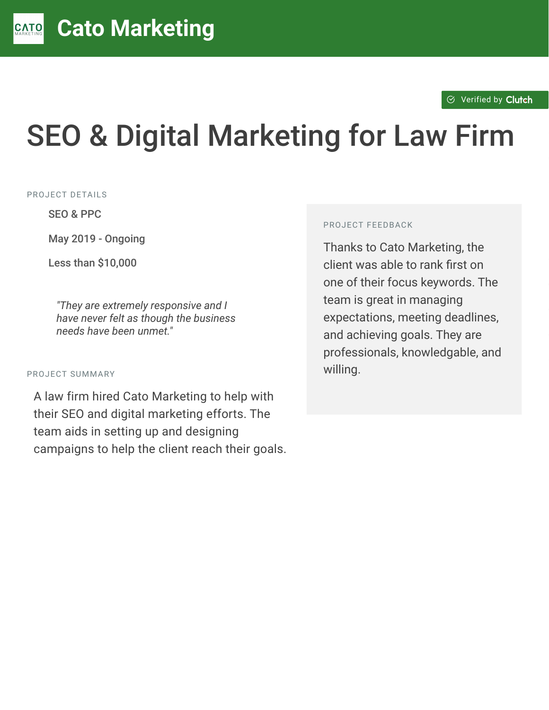$\otimes$  [Verified by](https://clutch.co?utm_source=case_studies&utm_medium=verified_by_clutch) Clutch

# SEO & Digital Marketing for Law Firm

PROJECT DETAILS

SEO & PPC

May 2019 - Ongoing

Less than  $$10.000$ 

"They are extremely responsive and I *have never felt as though the business needs have been unmet."*

#### PROJECT SUMMARY

A law firm hired Cato Marketing to help with their SEO and digital marketing efforts. The team aids in setting up and designing campaigns to help the client reach their goals.

#### PROJECT FEEDBACK

Thanks to Cato Marketing, the client was able to rank first on one of their focus keywords. The team is great in managing expectations, meeting deadlines, and achieving goals. They are professionals, knowledgable, and willing.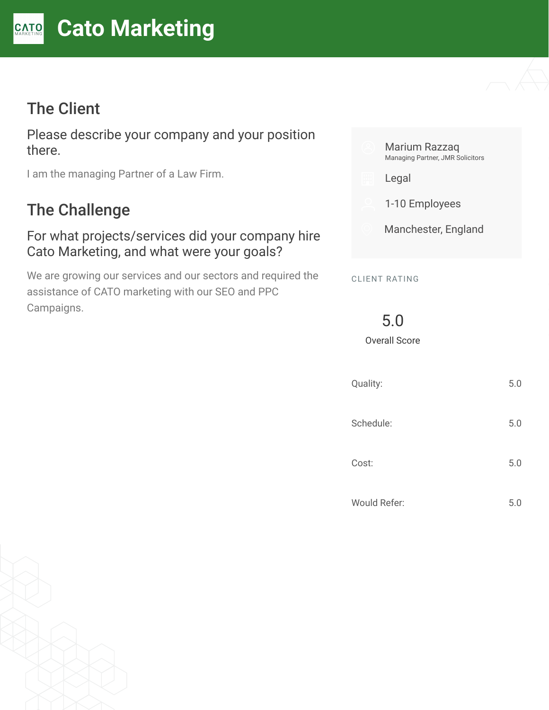## The Client

Please describe your company and your position there.

I am the managing Partner of a Law Firm.

## The Challenge

#### For what projects/services did your company hire Cato Marketing, and what were your goals?

We are growing our services and our sectors and required the assistance of CATO marketing with our SEO and PPC Campaigns.



| Quality:     | 5.0 |
|--------------|-----|
| Schedule:    | 5.0 |
| Cost:        | 5.0 |
| Would Refer: | 5.0 |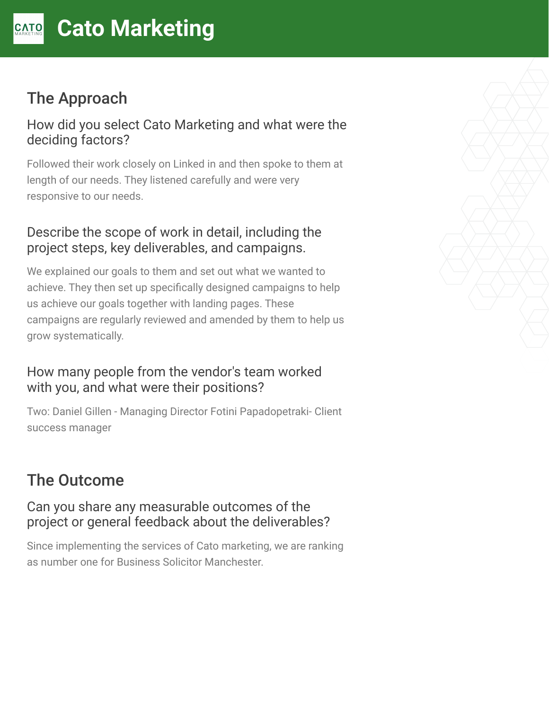## The Approach

#### How did you select Cato Marketing and what were the deciding factors?

Followed their work closely on Linked in and then spoke to them at length of our needs. They listened carefully and were very responsive to our needs.

## Describe the scope of work in detail, including the project steps, key deliverables, and campaigns.

We explained our goals to them and set out what we wanted to achieve. They then set up specifically designed campaigns to help us achieve our goals together with landing pages. These campaigns are regularly reviewed and amended by them to help us grow systematically.

### How many people from the vendor's team worked with you, and what were their positions?

Two: Daniel Gillen - Managing Director Fotini Papadopetraki- Client success manager

# The Outcome

#### Can you share any measurable outcomes of the project or general feedback about the deliverables?

Since implementing the services of Cato marketing, we are ranking as number one for Business Solicitor Manchester.